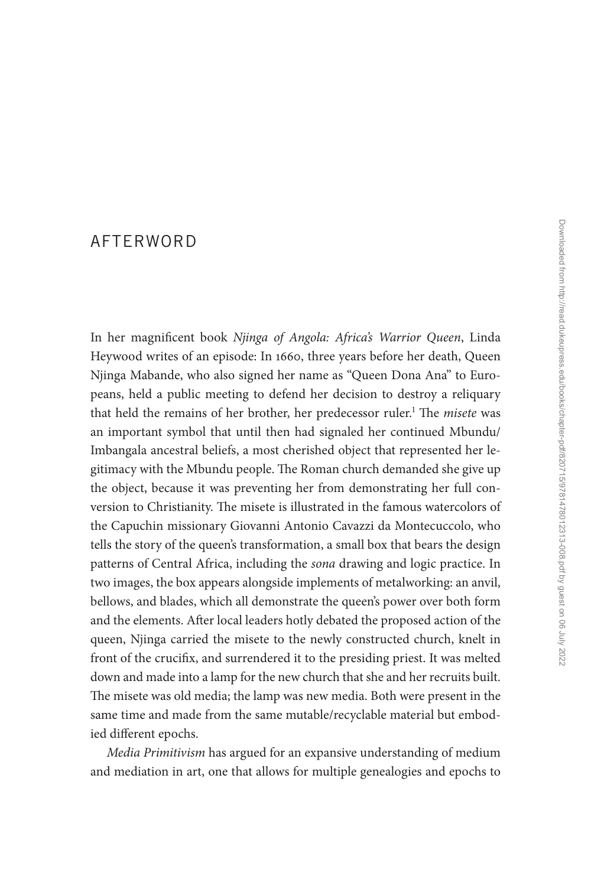## [AFTERWORD](#page--1-0)

In her magnificent book *Njinga of Angola: Africa's Warrior Queen*, Linda Heywood writes of an episode: In 1660, three years before her death, Queen Njinga Mabande, who also signed her name as "Queen Dona Ana" to Europeans, held a public meeting to defend her decision to destroy a reliquary that held the remains of her brother, her predecessor ruler.<sup>1</sup> The *misete* was an important symbol that until then had signaled her continued Mbundu/ Imbangala ancestral beliefs, a most cherished object that represented her legitimacy with the Mbundu people. The Roman church demanded she give up the object, because it was preventing her from demonstrating her full conversion to Christianity. The misete is illustrated in the famous watercolors of the Capuchin missionary Giovanni Antonio Cavazzi da Montecuccolo, who tells the story of the queen's transformation, a small box that bears the design patterns of Central Africa, including the *sona* drawing and logic practice. In two images, the box appears alongside implements of metalworking: an anvil, bellows, and blades, which all demonstrate the queen's power over both form and the elements. After local leaders hotly debated the proposed action of the queen, Njinga carried the misete to the newly constructed church, knelt in front of the crucifix, and surrendered it to the presiding priest. It was melted down and made into a lamp for the new church that she and her recruits built. The misete was old media; the lamp was new media. Both were present in the same time and made from the same mutable/recyclable material but embodied different epochs.

*Media Primitivism* has argued for an expansive understanding of medium and mediation in art, one that allows for multiple genealogies and epochs to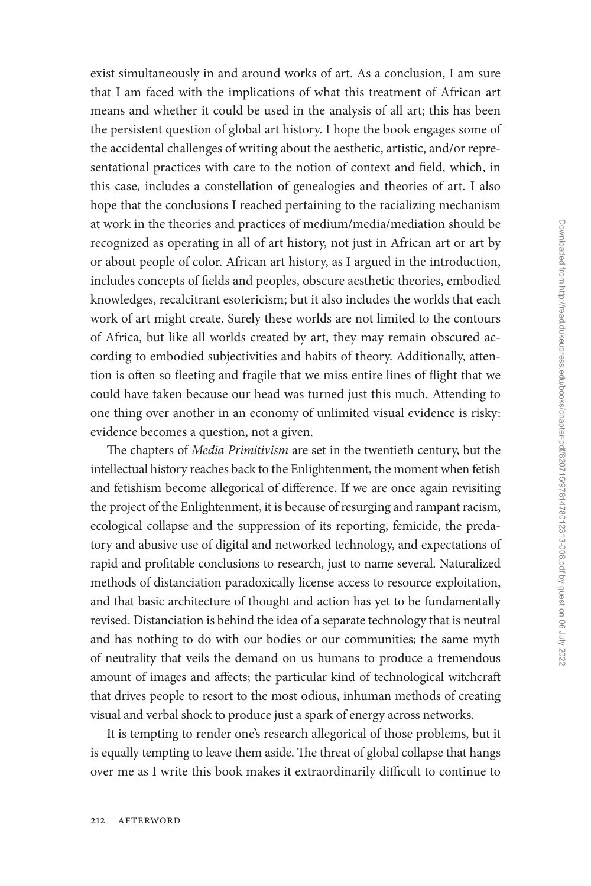exist simultaneously in and around works of art. As a conclusion, I am sure that I am faced with the implications of what this treatment of African art means and whether it could be used in the analysis of all art; this has been the persistent question of global art history. I hope the book engages some of the accidental challenges of writing about the aesthetic, artistic, and/or representational practices with care to the notion of context and field, which, in this case, includes a constellation of genealogies and theories of art. I also hope that the conclusions I reached pertaining to the racializing mechanism at work in the theories and practices of medium/media/mediation should be recognized as operating in all of art history, not just in African art or art by or about people of color. African art history, as I argued in the introduction, includes concepts of fields and peoples, obscure aesthetic theories, embodied knowledges, recalcitrant esotericism; but it also includes the worlds that each work of art might create. Surely these worlds are not limited to the contours of Africa, but like all worlds created by art, they may remain obscured according to embodied subjectivities and habits of theory. Additionally, attention is often so fleeting and fragile that we miss entire lines of flight that we could have taken because our head was turned just this much. Attending to one thing over another in an economy of unlimited visual evidence is risky: evidence becomes a question, not a given.

The chapters of *Media Primitivism* are set in the twentieth century, but the intellectual history reaches back to the Enlightenment, the moment when fetish and fetishism become allegorical of difference. If we are once again revisiting the project of the Enlightenment, it is because of resurging and rampant racism, ecological collapse and the suppression of its reporting, femicide, the predatory and abusive use of digital and networked technology, and expectations of rapid and profitable conclusions to research, just to name several. Naturalized methods of distanciation paradoxically license access to resource exploitation, and that basic architecture of thought and action has yet to be fundamentally revised. Distanciation is behind the idea of a separate technology that is neutral and has nothing to do with our bodies or our communities; the same myth of neutrality that veils the demand on us humans to produce a tremendous amount of images and affects; the particular kind of technological witchcraft that drives people to resort to the most odious, inhuman methods of creating visual and verbal shock to produce just a spark of energy across networks.

It is tempting to render one's research allegorical of those problems, but it is equally tempting to leave them aside. The threat of global collapse that hangs over me as I write this book makes it extraordinarily difficult to continue to